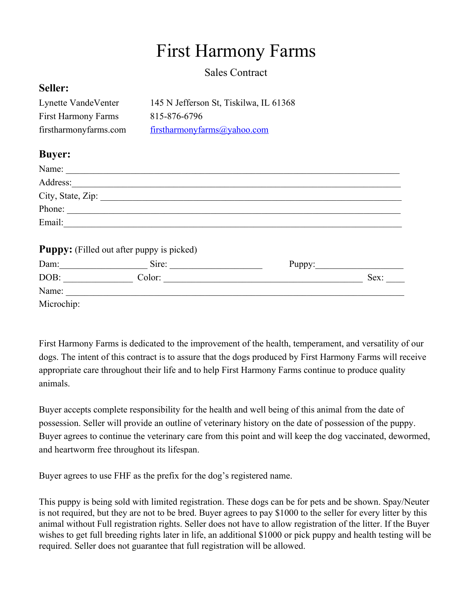## First Harmony Farms

Sales Contract

## **Seller:**

| Lynette VandeVenter        | 145 N Jefferson St, Tiskilwa, IL 61368 |
|----------------------------|----------------------------------------|
| <b>First Harmony Farms</b> | 815-876-6796                           |
| firstharmonyfarms.com      | firstharmonyfarms@yahoo.com            |

## **Buyer:**

|            | Address:                                         |        |
|------------|--------------------------------------------------|--------|
|            |                                                  |        |
|            | Phone:                                           |        |
| Email:     |                                                  |        |
|            | <b>Puppy:</b> (Filled out after puppy is picked) |        |
|            | Dam: Sire:                                       | Puppy: |
| DOB:       | Color:                                           | Sex:   |
| Name:      |                                                  |        |
| Microchip: |                                                  |        |

First Harmony Farms is dedicated to the improvement of the health, temperament, and versatility of our dogs. The intent of this contract is to assure that the dogs produced by First Harmony Farms will receive appropriate care throughout their life and to help First Harmony Farms continue to produce quality animals.

Buyer accepts complete responsibility for the health and well being of this animal from the date of possession. Seller will provide an outline of veterinary history on the date of possession of the puppy. Buyer agrees to continue the veterinary care from this point and will keep the dog vaccinated, dewormed, and heartworm free throughout its lifespan.

Buyer agrees to use FHF as the prefix for the dog's registered name.

This puppy is being sold with limited registration. These dogs can be for pets and be shown. Spay/Neuter is not required, but they are not to be bred. Buyer agrees to pay \$1000 to the seller for every litter by this animal without Full registration rights. Seller does not have to allow registration of the litter. If the Buyer wishes to get full breeding rights later in life, an additional \$1000 or pick puppy and health testing will be required. Seller does not guarantee that full registration will be allowed.